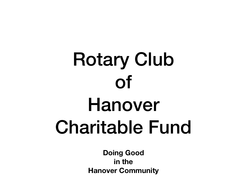## Rotary Club of Hanover Charitable Fund

**Doing Good in the Hanover Community**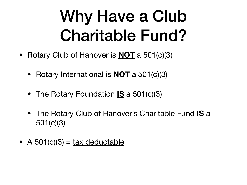### Why Have a Club Charitable Fund?

- Rotary Club of Hanover is **NOT** a 501(c)(3)
	- Rotary International is **NOT** a 501(c)(3)
	- The Rotary Foundation **IS** a 501(c)(3)
	- The Rotary Club of Hanover's Charitable Fund **IS** a 501(c)(3)
- A 501(c)(3) =  $\text{tax}$  deductable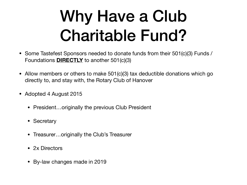### Why Have a Club Charitable Fund?

- Some Tastefest Sponsors needed to donate funds from their 501(c)(3) Funds / Foundations **DIRECTLY** to another 501(c)(3)
- Allow members or others to make 501(c)(3) tax deductible donations which go directly to, and stay with, the Rotary Club of Hanover
- Adopted 4 August 2015
	- President...originally the previous Club President
	- Secretary
	- Treasurer...originally the Club's Treasurer
	- 2x Directors
	- By-law changes made in 2019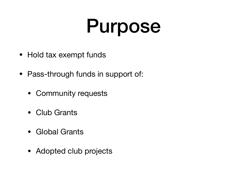### Purpose

- Hold tax exempt funds
- Pass-through funds in support of:
	- Community requests
	- Club Grants
	- Global Grants
	- Adopted club projects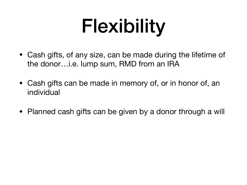## Flexibility

- Cash gifts, of any size, can be made during the lifetime of the donor…i.e. lump sum, RMD from an IRA
- Cash gifts can be made in memory of, or in honor of, an individual
- Planned cash gifts can be given by a donor through a will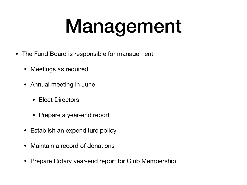# Management

- The Fund Board is responsible for management
	- Meetings as required
	- Annual meeting in June
		- Elect Directors
		- Prepare a year-end report
	- Establish an expenditure policy
	- Maintain a record of donations
	- Prepare Rotary year-end report for Club Membership